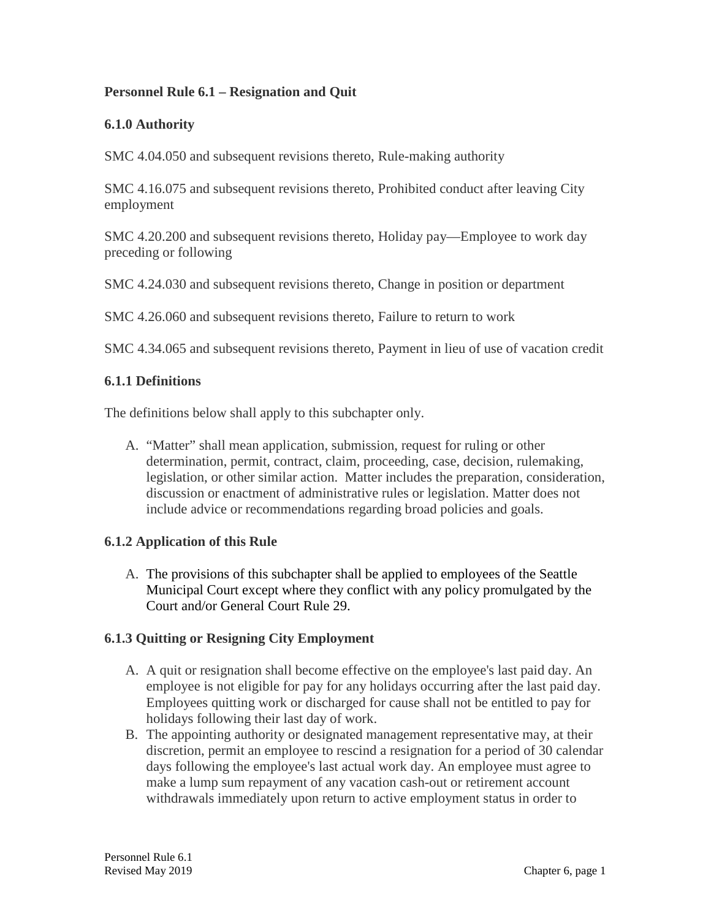# **Personnel Rule 6.1 – Resignation and Quit**

## **6.1.0 Authority**

SMC 4.04.050 and subsequent revisions thereto, Rule-making authority

SMC 4.16.075 and subsequent revisions thereto, Prohibited conduct after leaving City employment

SMC 4.20.200 and subsequent revisions thereto, Holiday pay—Employee to work day preceding or following

SMC 4.24.030 and subsequent revisions thereto, Change in position or department

SMC 4.26.060 and subsequent revisions thereto, Failure to return to work

SMC 4.34.065 and subsequent revisions thereto, Payment in lieu of use of vacation credit

#### **6.1.1 Definitions**

The definitions below shall apply to this subchapter only.

A. "Matter" shall mean application, submission, request for ruling or other determination, permit, contract, claim, proceeding, case, decision, rulemaking, legislation, or other similar action. Matter includes the preparation, consideration, discussion or enactment of administrative rules or legislation. Matter does not include advice or recommendations regarding broad policies and goals.

### **6.1.2 Application of this Rule**

A. The provisions of this subchapter shall be applied to employees of the Seattle Municipal Court except where they conflict with any policy promulgated by the Court and/or General Court Rule 29.

### **6.1.3 Quitting or Resigning City Employment**

- A. A quit or resignation shall become effective on the employee's last paid day. An employee is not eligible for pay for any holidays occurring after the last paid day. Employees quitting work or discharged for cause shall not be entitled to pay for holidays following their last day of work.
- B. The appointing authority or designated management representative may, at their discretion, permit an employee to rescind a resignation for a period of 30 calendar days following the employee's last actual work day. An employee must agree to make a lump sum repayment of any vacation cash-out or retirement account withdrawals immediately upon return to active employment status in order to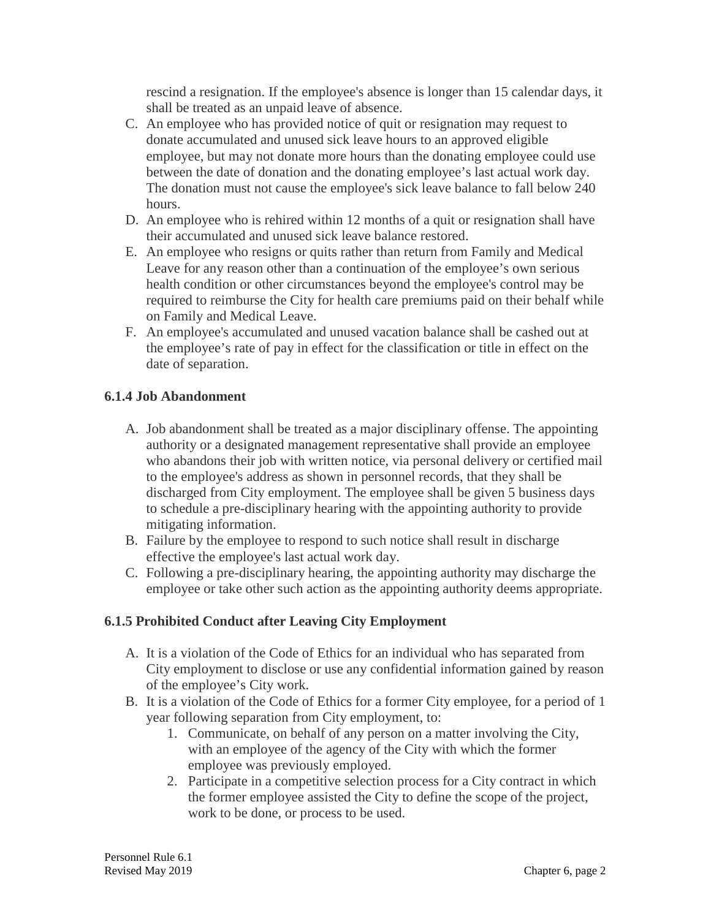rescind a resignation. If the employee's absence is longer than 15 calendar days, it shall be treated as an unpaid leave of absence.

- C. An employee who has provided notice of quit or resignation may request to donate accumulated and unused sick leave hours to an approved eligible employee, but may not donate more hours than the donating employee could use between the date of donation and the donating employee's last actual work day. The donation must not cause the employee's sick leave balance to fall below 240 hours.
- D. An employee who is rehired within 12 months of a quit or resignation shall have their accumulated and unused sick leave balance restored.
- E. An employee who resigns or quits rather than return from Family and Medical Leave for any reason other than a continuation of the employee's own serious health condition or other circumstances beyond the employee's control may be required to reimburse the City for health care premiums paid on their behalf while on Family and Medical Leave.
- F. An employee's accumulated and unused vacation balance shall be cashed out at the employee's rate of pay in effect for the classification or title in effect on the date of separation.

# **6.1.4 Job Abandonment**

- A. Job abandonment shall be treated as a major disciplinary offense. The appointing authority or a designated management representative shall provide an employee who abandons their job with written notice, via personal delivery or certified mail to the employee's address as shown in personnel records, that they shall be discharged from City employment. The employee shall be given 5 business days to schedule a pre-disciplinary hearing with the appointing authority to provide mitigating information.
- B. Failure by the employee to respond to such notice shall result in discharge effective the employee's last actual work day.
- C. Following a pre-disciplinary hearing, the appointing authority may discharge the employee or take other such action as the appointing authority deems appropriate.

### **6.1.5 Prohibited Conduct after Leaving City Employment**

- A. It is a violation of the Code of Ethics for an individual who has separated from City employment to disclose or use any confidential information gained by reason of the employee's City work.
- B. It is a violation of the Code of Ethics for a former City employee, for a period of 1 year following separation from City employment, to:
	- 1. Communicate, on behalf of any person on a matter involving the City, with an employee of the agency of the City with which the former employee was previously employed.
	- 2. Participate in a competitive selection process for a City contract in which the former employee assisted the City to define the scope of the project, work to be done, or process to be used.